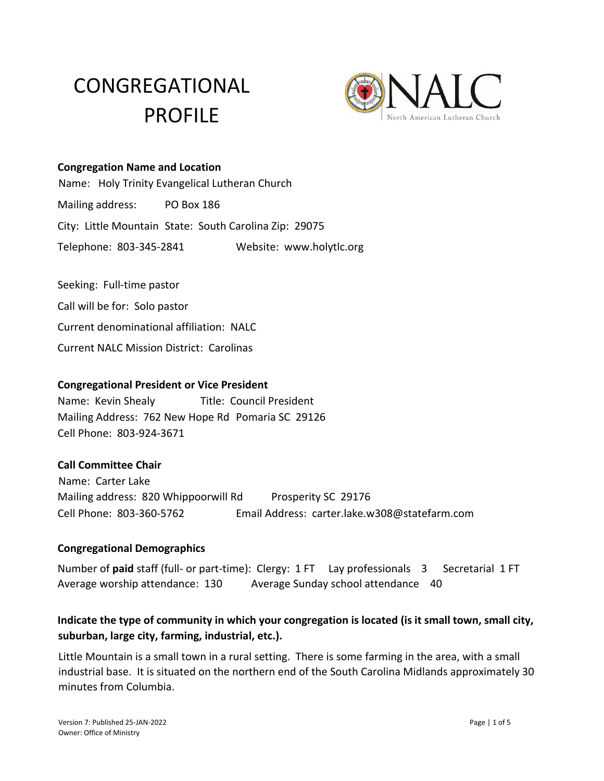# CONGREGATIONAL PROFILE



#### **Congregation Name and Location**

Name: Holy Trinity Evangelical Lutheran Church Mailing address: PO Box 186 City: Little Mountain State: South Carolina Zip: 29075 Telephone: 803-345-2841 Website: www.holytlc.org

Seeking: Full-time pastor Call will be for: Solo pastor Current denominational affiliation: NALC Current NALC Mission District: Carolinas

#### **Congregational President or Vice President**

Name: Kevin Shealy Title: Council President Mailing Address: 762 New Hope Rd Pomaria SC 29126 Cell Phone: 803-924-3671

#### **Call Committee Chair**

Name: Carter Lake Mailing address: 820 Whippoorwill Rd Prosperity SC 29176 Cell Phone: 803-360-5762 Email Address: carter.lake.w308@statefarm.com

#### **Congregational Demographics**

Number of paid staff (full- or part-time): Clergy: 1 FT Lay professionals 3 Secretarial 1 FT Average worship attendance: 130 Average Sunday school attendance 40

## **Indicate the type of community in which your congregation is located (is it small town, small city, suburban, large city, farming, industrial, etc.).**

Little Mountain is a small town in a rural setting. There is some farming in the area, with a small industrial base. It is situated on the northern end of the South Carolina Midlands approximately 30 minutes from Columbia.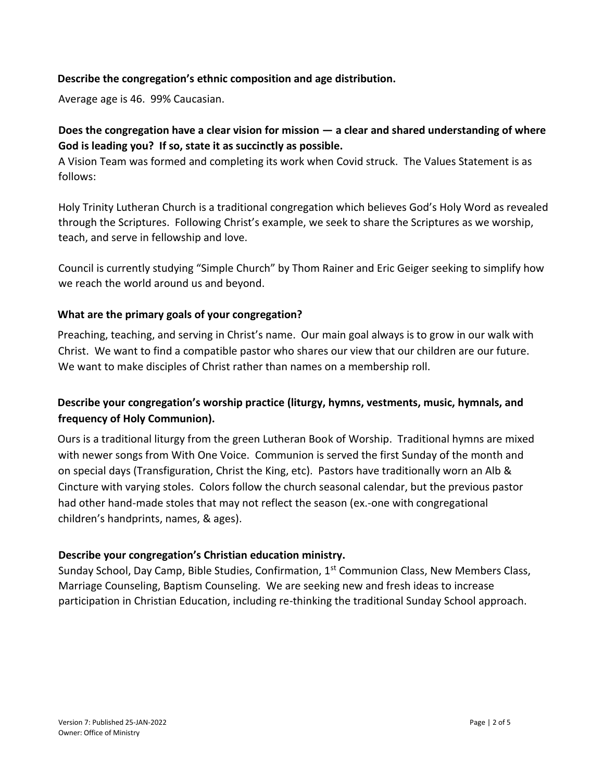#### **Describe the congregation's ethnic composition and age distribution.**

Average age is 46. 99% Caucasian.

## **Does the congregation have a clear vision for mission — a clear and shared understanding of where God is leading you? If so, state it as succinctly as possible.**

A Vision Team was formed and completing its work when Covid struck. The Values Statement is as follows:

Holy Trinity Lutheran Church is a traditional congregation which believes God's Holy Word as revealed through the Scriptures. Following Christ's example, we seek to share the Scriptures as we worship, teach, and serve in fellowship and love.

Council is currently studying "Simple Church" by Thom Rainer and Eric Geiger seeking to simplify how we reach the world around us and beyond.

#### **What are the primary goals of your congregation?**

Preaching, teaching, and serving in Christ's name. Our main goal always is to grow in our walk with Christ. We want to find a compatible pastor who shares our view that our children are our future. We want to make disciples of Christ rather than names on a membership roll.

## **Describe your congregation's worship practice (liturgy, hymns, vestments, music, hymnals, and frequency of Holy Communion).**

Ours is a traditional liturgy from the green Lutheran Book of Worship. Traditional hymns are mixed with newer songs from With One Voice. Communion is served the first Sunday of the month and on special days (Transfiguration, Christ the King, etc). Pastors have traditionally worn an Alb & Cincture with varying stoles. Colors follow the church seasonal calendar, but the previous pastor had other hand-made stoles that may not reflect the season (ex.-one with congregational children's handprints, names, & ages).

#### **Describe your congregation's Christian education ministry.**

Sunday School, Day Camp, Bible Studies, Confirmation, 1<sup>st</sup> Communion Class, New Members Class, Marriage Counseling, Baptism Counseling. We are seeking new and fresh ideas to increase participation in Christian Education, including re-thinking the traditional Sunday School approach.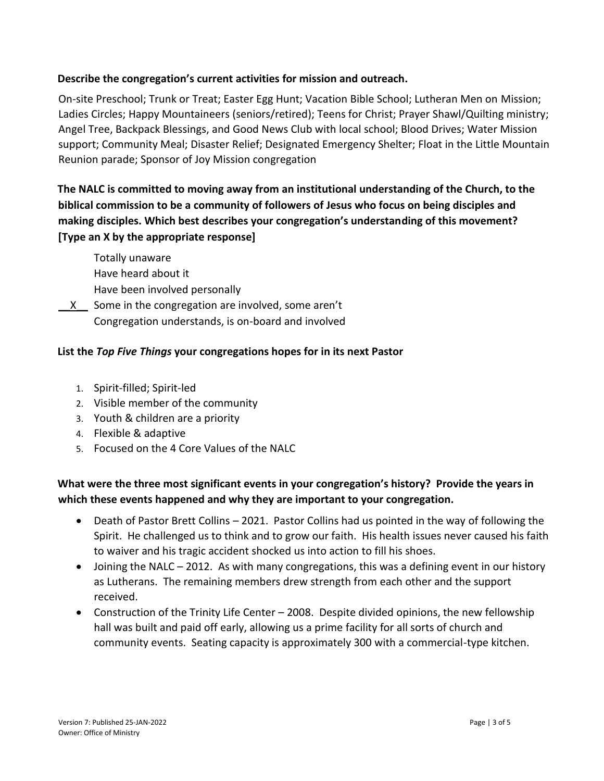### **Describe the congregation's current activities for mission and outreach.**

On-site Preschool; Trunk or Treat; Easter Egg Hunt; Vacation Bible School; Lutheran Men on Mission; Ladies Circles; Happy Mountaineers (seniors/retired); Teens for Christ; Prayer Shawl/Quilting ministry; Angel Tree, Backpack Blessings, and Good News Club with local school; Blood Drives; Water Mission support; Community Meal; Disaster Relief; Designated Emergency Shelter; Float in the Little Mountain Reunion parade; Sponsor of Joy Mission congregation

# **The NALC is committed to moving away from an institutional understanding of the Church, to the biblical commission to be a community of followers of Jesus who focus on being disciples and making disciples. Which best describes your congregation's understanding of this movement? [Type an X by the appropriate response]**

Totally unaware Have heard about it Have been involved personally

\_\_X\_\_ Some in the congregation are involved, some aren't Congregation understands, is on-board and involved

## **List the** *Top Five Things* **your congregations hopes for in its next Pastor**

- 1. Spirit-filled; Spirit-led
- 2. Visible member of the community
- 3. Youth & children are a priority
- 4. Flexible & adaptive
- 5. Focused on the 4 Core Values of the NALC

# **What were the three most significant events in your congregation's history? Provide the years in which these events happened and why they are important to your congregation.**

- Death of Pastor Brett Collins 2021. Pastor Collins had us pointed in the way of following the Spirit. He challenged us to think and to grow our faith. His health issues never caused his faith to waiver and his tragic accident shocked us into action to fill his shoes.
- Joining the NALC 2012. As with many congregations, this was a defining event in our history as Lutherans. The remaining members drew strength from each other and the support received.
- Construction of the Trinity Life Center 2008. Despite divided opinions, the new fellowship hall was built and paid off early, allowing us a prime facility for all sorts of church and community events. Seating capacity is approximately 300 with a commercial-type kitchen.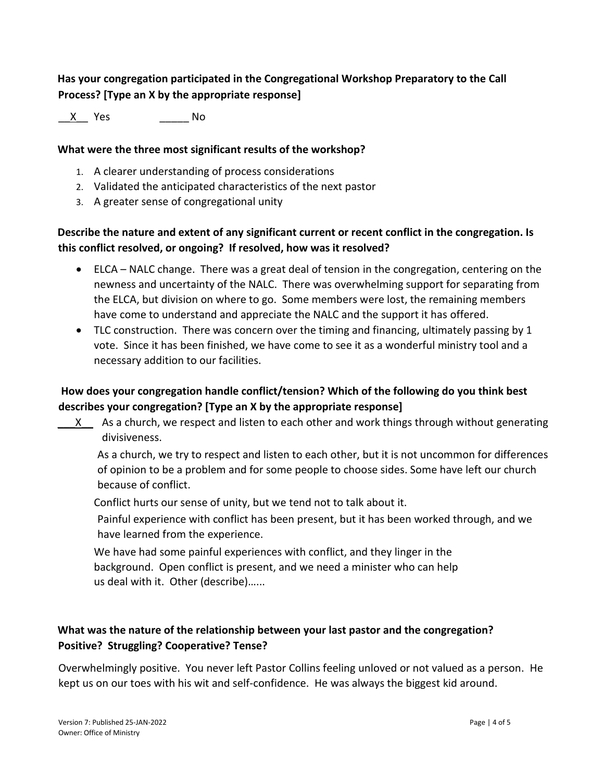# **Has your congregation participated in the Congregational Workshop Preparatory to the Call Process? [Type an X by the appropriate response]**

\_\_X\_\_ Yes \_\_\_\_\_ No

#### **What were the three most significant results of the workshop?**

- 1. A clearer understanding of process considerations
- 2. Validated the anticipated characteristics of the next pastor
- 3. A greater sense of congregational unity

# **Describe the nature and extent of any significant current or recent conflict in the congregation. Is this conflict resolved, or ongoing? If resolved, how was it resolved?**

- ELCA NALC change. There was a great deal of tension in the congregation, centering on the newness and uncertainty of the NALC. There was overwhelming support for separating from the ELCA, but division on where to go. Some members were lost, the remaining members have come to understand and appreciate the NALC and the support it has offered.
- TLC construction. There was concern over the timing and financing, ultimately passing by 1 vote. Since it has been finished, we have come to see it as a wonderful ministry tool and a necessary addition to our facilities.

## **How does your congregation handle conflict/tension? Which of the following do you think best describes your congregation? [Type an X by the appropriate response]**

X As a church, we respect and listen to each other and work things through without generating divisiveness.

As a church, we try to respect and listen to each other, but it is not uncommon for differences of opinion to be a problem and for some people to choose sides. Some have left our church because of conflict.

Conflict hurts our sense of unity, but we tend not to talk about it.

Painful experience with conflict has been present, but it has been worked through, and we have learned from the experience.

We have had some painful experiences with conflict, and they linger in the background. Open conflict is present, and we need a minister who can help us deal with it. Other (describe)…...

# **What was the nature of the relationship between your last pastor and the congregation? Positive? Struggling? Cooperative? Tense?**

Overwhelmingly positive. You never left Pastor Collins feeling unloved or not valued as a person. He kept us on our toes with his wit and self-confidence. He was always the biggest kid around.